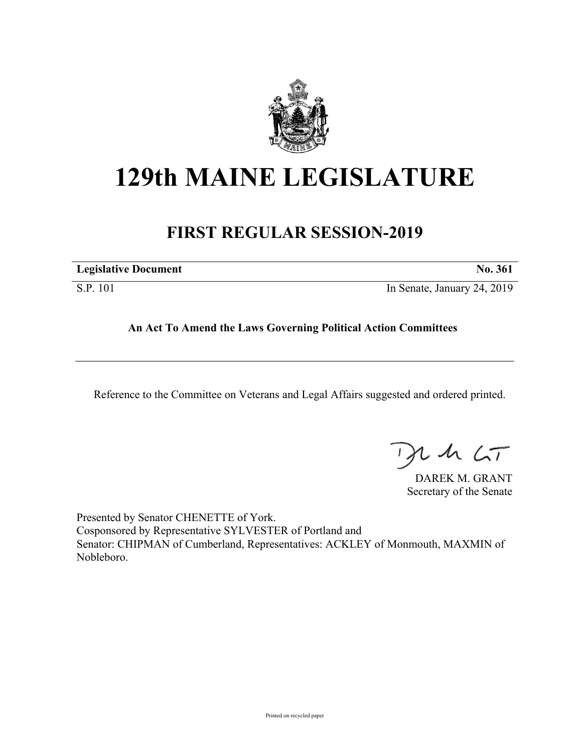

## **129th MAINE LEGISLATURE**

## **FIRST REGULAR SESSION-2019**

| <b>Legislative Document</b> | No. 36. |
|-----------------------------|---------|
|                             |         |

S.P. 101 In Senate, January 24, 2019

## **An Act To Amend the Laws Governing Political Action Committees**

Reference to the Committee on Veterans and Legal Affairs suggested and ordered printed.

 $42.6T$ 

DAREK M. GRANT Secretary of the Senate

Presented by Senator CHENETTE of York. Cosponsored by Representative SYLVESTER of Portland and Senator: CHIPMAN of Cumberland, Representatives: ACKLEY of Monmouth, MAXMIN of Nobleboro.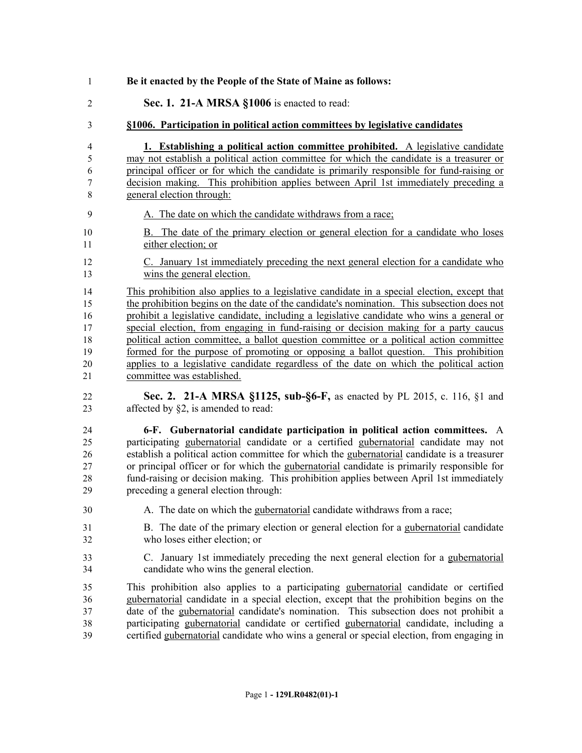**Be it enacted by the People of the State of Maine as follows: Sec. 1. 21-A MRSA §1006** is enacted to read: **§1006. Participation in political action committees by legislative candidates 1. Establishing a political action committee prohibited.** A legislative candidate may not establish a political action committee for which the candidate is a treasurer or principal officer or for which the candidate is primarily responsible for fund-raising or decision making. This prohibition applies between April 1st immediately preceding a general election through: A. The date on which the candidate withdraws from a race; B. The date of the primary election or general election for a candidate who loses either election; or C. January 1st immediately preceding the next general election for a candidate who wins the general election. This prohibition also applies to a legislative candidate in a special election, except that the prohibition begins on the date of the candidate's nomination. This subsection does not prohibit a legislative candidate, including a legislative candidate who wins a general or special election, from engaging in fund-raising or decision making for a party caucus political action committee, a ballot question committee or a political action committee 19 formed for the purpose of promoting or opposing a ballot question. This prohibition applies to a legislative candidate regardless of the date on which the political action committee was established. **Sec. 2. 21-A MRSA §1125, sub-§6-F,** as enacted by PL 2015, c. 116, §1 and 23 affected by §2, is amended to read: **6-F. Gubernatorial candidate participation in political action committees.** A participating gubernatorial candidate or a certified gubernatorial candidate may not establish a political action committee for which the gubernatorial candidate is a treasurer or principal officer or for which the gubernatorial candidate is primarily responsible for fund-raising or decision making. This prohibition applies between April 1st immediately preceding a general election through: A. The date on which the gubernatorial candidate withdraws from a race; B. The date of the primary election or general election for a gubernatorial candidate who loses either election; or C. January 1st immediately preceding the next general election for a gubernatorial candidate who wins the general election. This prohibition also applies to a participating gubernatorial candidate or certified gubernatorial candidate in a special election, except that the prohibition begins on the date of the gubernatorial candidate's nomination. This subsection does not prohibit a participating gubernatorial candidate or certified gubernatorial candidate, including a certified gubernatorial candidate who wins a general or special election, from engaging in